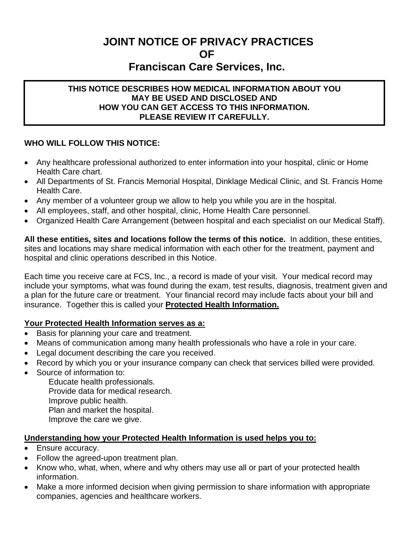# **JOINT NOTICE OF PRIVACY PRACTICES OF Franciscan Care Services, Inc.**

#### **WHO WILL ACCESS TO THIS INTO THIS NOTICE DESCRIBES HOW MEDICAL INFORMATION ABOUT YOU MAY BE USED AND DISCLOSED AND HOW YOU CAN GET ACCESS TO THIS INFORMATION.**

#### **WHO WILL FOLLOW THIS NOTICE:**

- Any healthcare professional authorized to enter information into your hospital, clinic or Home Health Care chart.
- All Departments of St. Francis Memorial Hospital, Dinklage Medical Clinic, and St. Francis Home Health Care.
- Any member of a volunteer group we allow to help you while you are in the hospital.
- All employees, staff, and other hospital, clinic, Home Health Care personnel.
- Organized Health Care Arrangement (between hospital and each specialist on our Medical Staff).

**All these entities, sites and locations follow the terms of this notice.** In addition, these entities, sites and locations may share medical information with each other for the treatment, payment and hospital and clinic operations described in this Notice.

Each time you receive care at FCS, Inc., a record is made of your visit. Your medical record may include your symptoms, what was found during the exam, test results, diagnosis, treatment given and a plan for the future care or treatment. Your financial record may include facts about your bill and insurance. Together this is called your **Protected Health Information.**

#### **Your Protected Health Information serves as a:**

- Basis for planning your care and treatment.
- Means of communication among many health professionals who have a role in your care.
- Legal document describing the care you received.
- Record by which you or your insurance company can check that services billed were provided.
- Source of information to:

Educate health professionals. Provide data for medical research. Improve public health. Plan and market the hospital. Improve the care we give.

#### **Understanding how your Protected Health Information is used helps you to:**

- Ensure accuracy.
- Follow the agreed-upon treatment plan.
- Know who, what, when, where and why others may use all or part of your protected health information.
- Make a more informed decision when giving permission to share information with appropriate companies, agencies and healthcare workers.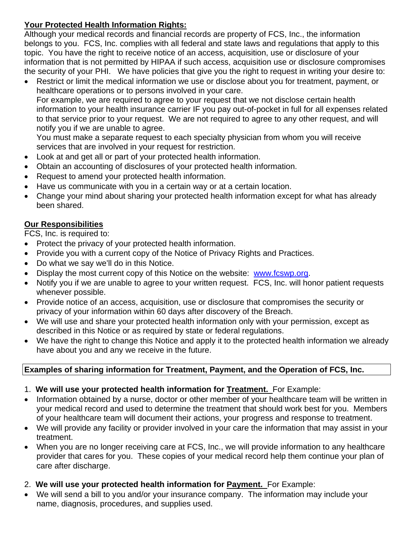## **Your Protected Health Information Rights:**

Although your medical records and financial records are property of FCS, Inc., the information belongs to you. FCS, Inc. complies with all federal and state laws and regulations that apply to this topic. You have the right to receive notice of an access, acquisition, use or disclosure of your information that is not permitted by HIPAA if such access, acquisition use or disclosure compromises the security of your PHI. We have policies that give you the right to request in writing your desire to:

• Restrict or limit the medical information we use or disclose about you for treatment, payment, or healthcare operations or to persons involved in your care.

For example, we are required to agree to your request that we not disclose certain health information to your health insurance carrier IF you pay out-of-pocket in full for all expenses related to that service prior to your request. We are not required to agree to any other request, and will notify you if we are unable to agree.

You must make a separate request to each specialty physician from whom you will receive services that are involved in your request for restriction.

- Look at and get all or part of your protected health information.
- Obtain an accounting of disclosures of your protected health information.
- Request to amend your protected health information.
- Have us communicate with you in a certain way or at a certain location.
- Change your mind about sharing your protected health information except for what has already been shared.

## **Our Responsibilities**

FCS, Inc. is required to:

- Protect the privacy of your protected health information.
- Provide you with a current copy of the Notice of Privacy Rights and Practices.
- Do what we say we'll do in this Notice.
- Display the most current copy of this Notice on the website: [www.fcswp.org](http://www.fcswp.org/).
- Notify you if we are unable to agree to your written request. FCS, Inc. will honor patient requests whenever possible.
- Provide notice of an access, acquisition, use or disclosure that compromises the security or privacy of your information within 60 days after discovery of the Breach.
- We will use and share your protected health information only with your permission, except as described in this Notice or as required by state or federal regulations.
- We have the right to change this Notice and apply it to the protected health information we already have about you and any we receive in the future.

## **Examples of sharing information for Treatment, Payment, and the Operation of FCS, Inc.**

- 1. **We will use your protected health information for Treatment.** For Example:
- Information obtained by a nurse, doctor or other member of your healthcare team will be written in your medical record and used to determine the treatment that should work best for you. Members of your healthcare team will document their actions, your progress and response to treatment.
- We will provide any facility or provider involved in your care the information that may assist in your treatment.
- When you are no longer receiving care at FCS, Inc., we will provide information to any healthcare provider that cares for you. These copies of your medical record help them continue your plan of care after discharge.
- 2. **We will use your protected health information for Payment.** For Example:
- We will send a bill to you and/or your insurance company. The information may include your name, diagnosis, procedures, and supplies used.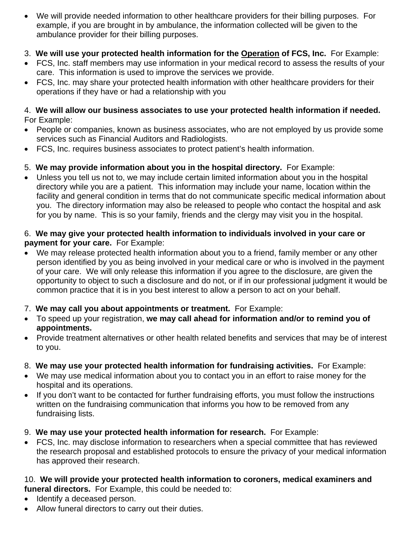• We will provide needed information to other healthcare providers for their billing purposes. For example, if you are brought in by ambulance, the information collected will be given to the ambulance provider for their billing purposes.

## 3. **We will use your protected health information for the Operation of FCS, Inc.** For Example:

- FCS, Inc. staff members may use information in your medical record to assess the results of your care. This information is used to improve the services we provide.
- FCS, Inc. may share your protected health information with other healthcare providers for their operations if they have or had a relationship with you

#### 4. **We will allow our business associates to use your protected health information if needed.**  For Example:

- People or companies, known as business associates, who are not employed by us provide some services such as Financial Auditors and Radiologists.
- FCS, Inc. requires business associates to protect patient's health information.

## 5. **We may provide information about you in the hospital directory.** For Example:

• Unless you tell us not to, we may include certain limited information about you in the hospital directory while you are a patient. This information may include your name, location within the facility and general condition in terms that do not communicate specific medical information about you. The directory information may also be released to people who contact the hospital and ask for you by name. This is so your family, friends and the clergy may visit you in the hospital.

#### 6. **We may give your protected health information to individuals involved in your care or payment for your care.** For Example:

- We may release protected health information about you to a friend, family member or any other person identified by you as being involved in your medical care or who is involved in the payment of your care. We will only release this information if you agree to the disclosure, are given the opportunity to object to such a disclosure and do not, or if in our professional judgment it would be common practice that it is in you best interest to allow a person to act on your behalf.
- 7. **We may call you about appointments or treatment.** For Example:
- To speed up your registration, **we may call ahead for information and/or to remind you of appointments.**
- Provide treatment alternatives or other health related benefits and services that may be of interest to you.

## 8. **We may use your protected health information for fundraising activities.** For Example:

- We may use medical information about you to contact you in an effort to raise money for the hospital and its operations.
- If you don't want to be contacted for further fundraising efforts, you must follow the instructions written on the fundraising communication that informs you how to be removed from any fundraising lists.
- 9. **We may use your protected health information for research.** For Example:
- FCS, Inc. may disclose information to researchers when a special committee that has reviewed the research proposal and established protocols to ensure the privacy of your medical information has approved their research.

#### 10. **We will provide your protected health information to coroners, medical examiners and funeral directors.** For Example, this could be needed to:

- Identify a deceased person.
- Allow funeral directors to carry out their duties.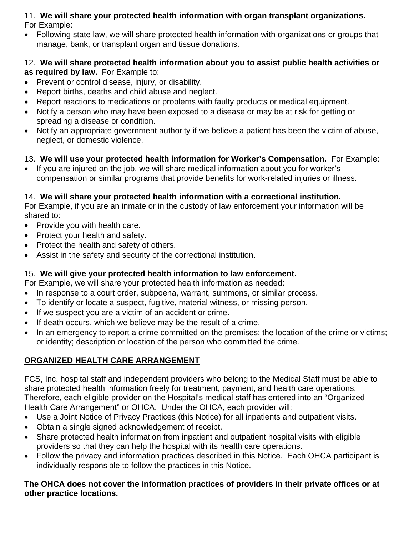### 11. **We will share your protected health information with organ transplant organizations.**  For Example:

• Following state law, we will share protected health information with organizations or groups that manage, bank, or transplant organ and tissue donations.

### 12. **We will share protected health information about you to assist public health activities or as required by law.** For Example to:

- Prevent or control disease, injury, or disability.
- Report births, deaths and child abuse and neglect.
- Report reactions to medications or problems with faulty products or medical equipment.
- Notify a person who may have been exposed to a disease or may be at risk for getting or spreading a disease or condition.
- Notify an appropriate government authority if we believe a patient has been the victim of abuse, neglect, or domestic violence.

## 13. **We will use your protected health information for Worker's Compensation.** For Example:

• If you are injured on the job, we will share medical information about you for worker's compensation or similar programs that provide benefits for work-related injuries or illness.

## 14. **We will share your protected health information with a correctional institution.**

For Example, if you are an inmate or in the custody of law enforcement your information will be shared to:

- Provide you with health care.
- Protect your health and safety.
- Protect the health and safety of others.
- Assist in the safety and security of the correctional institution.

## 15. **We will give your protected health information to law enforcement.**

For Example, we will share your protected health information as needed:

- In response to a court order, subpoena, warrant, summons, or similar process.
- To identify or locate a suspect, fugitive, material witness, or missing person.
- If we suspect you are a victim of an accident or crime.
- If death occurs, which we believe may be the result of a crime.
- In an emergency to report a crime committed on the premises; the location of the crime or victims; or identity; description or location of the person who committed the crime.

## **ORGANIZED HEALTH CARE ARRANGEMENT**

FCS, Inc. hospital staff and independent providers who belong to the Medical Staff must be able to share protected health information freely for treatment, payment, and health care operations. Therefore, each eligible provider on the Hospital's medical staff has entered into an "Organized Health Care Arrangement" or OHCA. Under the OHCA, each provider will:

- Use a Joint Notice of Privacy Practices (this Notice) for all inpatients and outpatient visits.
- Obtain a single signed acknowledgement of receipt.
- Share protected health information from inpatient and outpatient hospital visits with eligible providers so that they can help the hospital with its health care operations.
- Follow the privacy and information practices described in this Notice. Each OHCA participant is individually responsible to follow the practices in this Notice.

### **The OHCA does not cover the information practices of providers in their private offices or at other practice locations.**